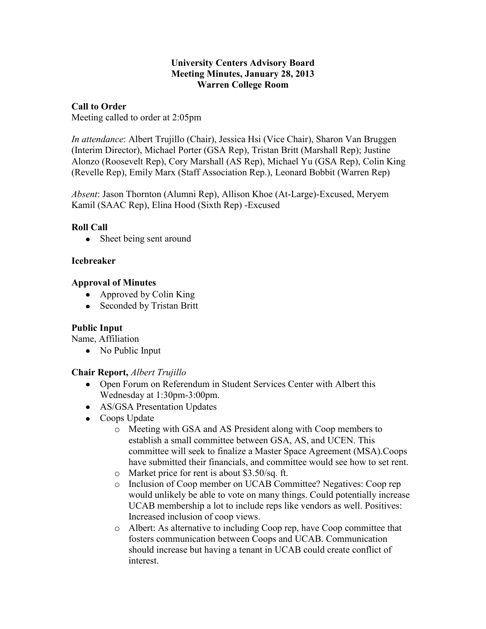#### **University Centers Advisory Board Meeting Minutes, January 28, 2013 Warren College Room**

# **Call to Order**

Meeting called to order at 2:05pm

*In attendance*: Albert Trujillo (Chair), Jessica Hsi (Vice Chair), Sharon Van Bruggen (Interim Director), Michael Porter (GSA Rep), Tristan Britt (Marshall Rep); Justine Alonzo (Roosevelt Rep), Cory Marshall (AS Rep), Michael Yu (GSA Rep), Colin King (Revelle Rep), Emily Marx (Staff Association Rep.), Leonard Bobbit (Warren Rep)

*Absent*: Jason Thornton (Alumni Rep), Allison Khoe (At-Large)-Excused, Meryem Kamil (SAAC Rep), Elina Hood (Sixth Rep) -Excused

# **Roll Call**

• Sheet being sent around

# **Icebreaker**

# **Approval of Minutes**

- Approved by Colin King
- Seconded by Tristan Britt

# **Public Input**

Name, Affiliation

• No Public Input

# **Chair Report,** *Albert Trujillo*

- Open Forum on Referendum in Student Services Center with Albert this Wednesday at 1:30pm-3:00pm.
- AS/GSA Presentation Updates
- Coops Update
	- o Meeting with GSA and AS President along with Coop members to establish a small committee between GSA, AS, and UCEN. This committee will seek to finalize a Master Space Agreement (MSA).Coops have submitted their financials, and committee would see how to set rent.
	- o Market price for rent is about \$3.50/sq. ft.
	- o Inclusion of Coop member on UCAB Committee? Negatives: Coop rep would unlikely be able to vote on many things. Could potentially increase UCAB membership a lot to include reps like vendors as well. Positives: Increased inclusion of coop views.
	- o Albert: As alternative to including Coop rep, have Coop committee that fosters communication between Coops and UCAB. Communication should increase but having a tenant in UCAB could create conflict of interest.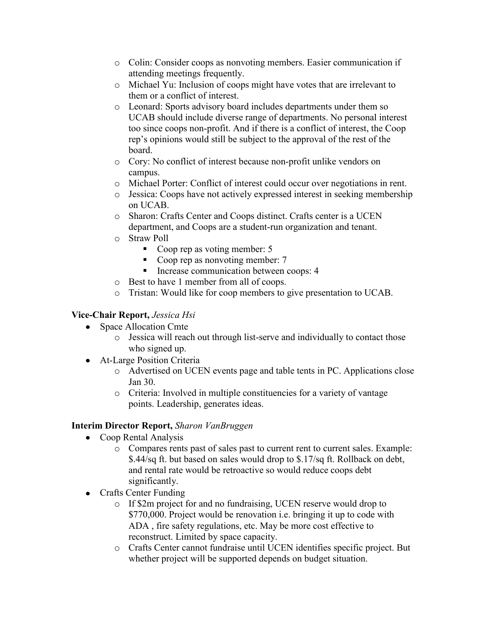- o Colin: Consider coops as nonvoting members. Easier communication if attending meetings frequently.
- o Michael Yu: Inclusion of coops might have votes that are irrelevant to them or a conflict of interest.
- o Leonard: Sports advisory board includes departments under them so UCAB should include diverse range of departments. No personal interest too since coops non-profit. And if there is a conflict of interest, the Coop rep's opinions would still be subject to the approval of the rest of the board.
- o Cory: No conflict of interest because non-profit unlike vendors on campus.
- o Michael Porter: Conflict of interest could occur over negotiations in rent.
- o Jessica: Coops have not actively expressed interest in seeking membership on UCAB.
- o Sharon: Crafts Center and Coops distinct. Crafts center is a UCEN department, and Coops are a student-run organization and tenant.
- o Straw Poll
	- Coop rep as voting member: 5
	- Coop rep as nonvoting member: 7
	- **Increase communication between coops: 4**
- o Best to have 1 member from all of coops.
- o Tristan: Would like for coop members to give presentation to UCAB.

# **Vice-Chair Report,** *Jessica Hsi*

- Space Allocation Cmte
	- o Jessica will reach out through list-serve and individually to contact those who signed up.
- At-Large Position Criteria
	- o Advertised on UCEN events page and table tents in PC. Applications close Jan 30.
	- o Criteria: Involved in multiple constituencies for a variety of vantage points. Leadership, generates ideas.

### **Interim Director Report,** *Sharon VanBruggen*

- Coop Rental Analysis
	- o Compares rents past of sales past to current rent to current sales. Example: \$.44/sq ft. but based on sales would drop to \$.17/sq ft. Rollback on debt, and rental rate would be retroactive so would reduce coops debt significantly.
- Crafts Center Funding
	- o If \$2m project for and no fundraising, UCEN reserve would drop to \$770,000. Project would be renovation i.e. bringing it up to code with ADA , fire safety regulations, etc. May be more cost effective to reconstruct. Limited by space capacity.
	- o Crafts Center cannot fundraise until UCEN identifies specific project. But whether project will be supported depends on budget situation.